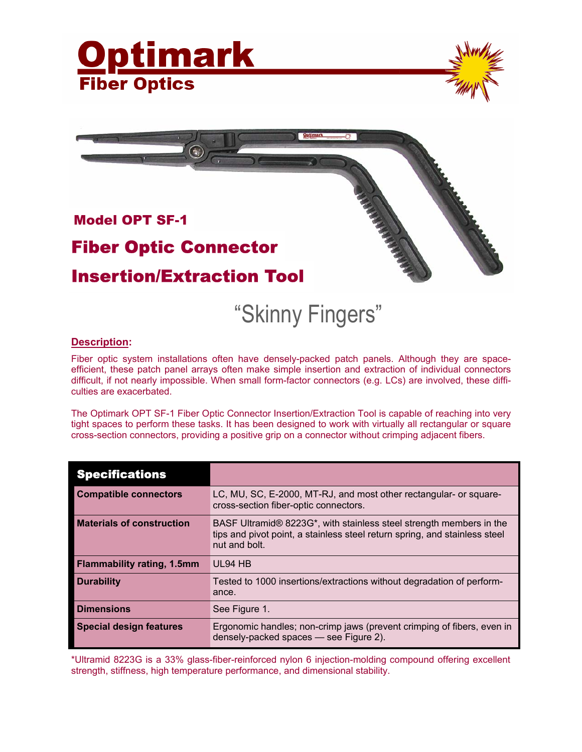





## "Skinny Fingers"

## **Description:**

Fiber optic system installations often have densely-packed patch panels. Although they are spaceefficient, these patch panel arrays often make simple insertion and extraction of individual connectors difficult, if not nearly impossible. When small form-factor connectors (e.g. LCs) are involved, these difficulties are exacerbated.

The Optimark OPT SF-1 Fiber Optic Connector Insertion/Extraction Tool is capable of reaching into very tight spaces to perform these tasks. It has been designed to work with virtually all rectangular or square cross-section connectors, providing a positive grip on a connector without crimping adjacent fibers.

| <b>Specifications</b>             |                                                                                                                                                                                 |
|-----------------------------------|---------------------------------------------------------------------------------------------------------------------------------------------------------------------------------|
| <b>Compatible connectors</b>      | LC, MU, SC, E-2000, MT-RJ, and most other rectangular- or square-<br>cross-section fiber-optic connectors.                                                                      |
| <b>Materials of construction</b>  | BASF Ultramid® 8223G <sup>*</sup> , with stainless steel strength members in the<br>tips and pivot point, a stainless steel return spring, and stainless steel<br>nut and bolt. |
| <b>Flammability rating, 1.5mm</b> | UL94 HB                                                                                                                                                                         |
| <b>Durability</b>                 | Tested to 1000 insertions/extractions without degradation of perform-<br>ance.                                                                                                  |
| <b>Dimensions</b>                 | See Figure 1.                                                                                                                                                                   |
| <b>Special design features</b>    | Ergonomic handles; non-crimp jaws (prevent crimping of fibers, even in<br>densely-packed spaces - see Figure 2).                                                                |

\*Ultramid 8223G is a 33% glass-fiber-reinforced nylon 6 injection-molding compound offering excellent strength, stiffness, high temperature performance, and dimensional stability.